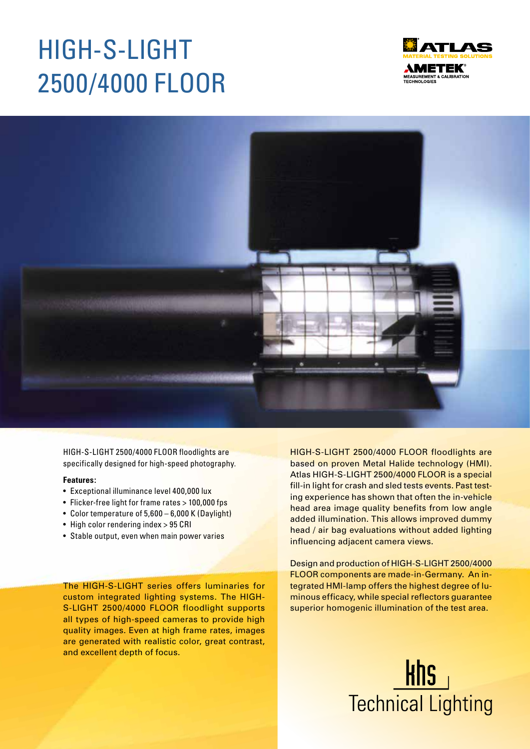# HIGH-S-LIGHT 2500/4000 FLOOR





HIGH-S-LIGHT 2500/4000 FLOOR floodlights are specifically designed for high-speed photography.

#### **Features:**

- Exceptional illuminance level 400,000 lux
- Flicker-free light for frame rates > 100,000 fps
- Color temperature of 5,600 6,000 K (Daylight)
- High color rendering index > 95 CRI
- Stable output, even when main power varies

The HIGH-S-LIGHT series offers luminaries for custom integrated lighting systems. The HIGH-S-LIGHT 2500/4000 FLOOR floodlight supports all types of high-speed cameras to provide high quality images. Even at high frame rates, images are generated with realistic color, great contrast, and excellent depth of focus.

HIGH-S-LIGHT 2500/4000 FLOOR floodlights are based on proven Metal Halide technology (HMI). Atlas HIGH-S-LIGHT 2500/4000 FLOOR is a special fill-in light for crash and sled tests events. Past testing experience has shown that often the in-vehicle head area image quality benefits from low angle added illumination. This allows improved dummy head / air bag evaluations without added lighting influencing adjacent camera views.

Design and production of HIGH-S-LIGHT 2500/4000 FLOOR components are made-in-Germany. An integrated HMI-lamp offers the highest degree of luminous efficacy, while special reflectors guarantee superior homogenic illumination of the test area.